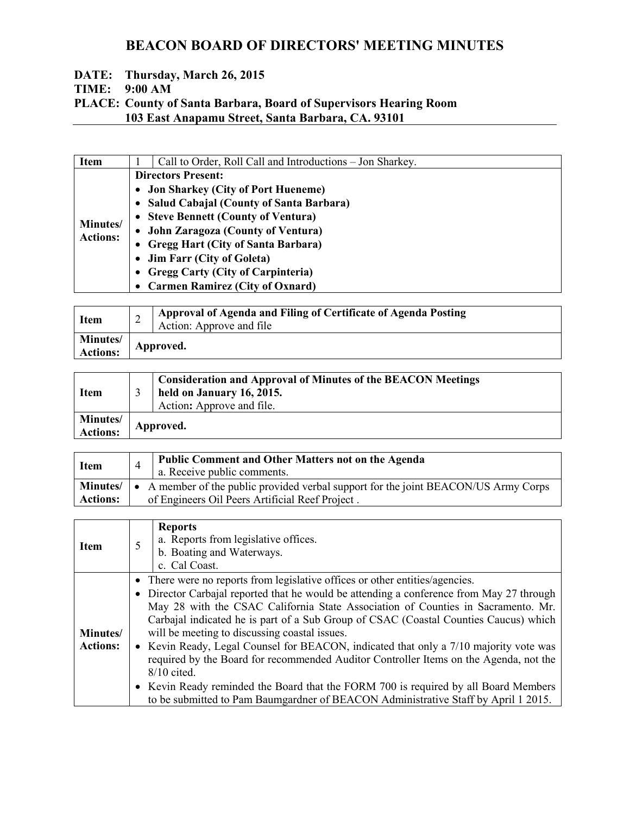#### **DATE: Thursday, March 26, 2015 TIME: 9:00 AM PLACE: County of Santa Barbara, Board of Supervisors Hearing Room 103 East Anapamu Street, Santa Barbara, CA. 93101**

| <b>Item</b>                 | Call to Order, Roll Call and Introductions – Jon Sharkey. |
|-----------------------------|-----------------------------------------------------------|
|                             | <b>Directors Present:</b>                                 |
|                             | • Jon Sharkey (City of Port Hueneme)                      |
|                             | • Salud Cabajal (County of Santa Barbara)                 |
|                             | • Steve Bennett (County of Ventura)                       |
| Minutes/<br><b>Actions:</b> | • John Zaragoza (County of Ventura)                       |
|                             | • Gregg Hart (City of Santa Barbara)                      |
|                             | • Jim Farr (City of Goleta)                               |
|                             | • Gregg Carty (City of Carpinteria)                       |
|                             | • Carmen Ramirez (City of Oxnard)                         |

| Item                               | ∼ | Approval of Agenda and Filing of Certificate of Agenda Posting<br>Action: Approve and file |
|------------------------------------|---|--------------------------------------------------------------------------------------------|
| <b>Minutes/</b><br><b>Actions:</b> |   | Approved.                                                                                  |

| <b>Item</b>          | <b>Consideration and Approval of Minutes of the BEACON Meetings</b><br>held on January 16, 2015.<br>Action: Approve and file. |
|----------------------|-------------------------------------------------------------------------------------------------------------------------------|
| Minutes/<br>Actions: | Approved.                                                                                                                     |

| <b>Item</b>                 | Public Comment and Other Matters not on the Agenda<br>a. Receive public comments.                                                      |
|-----------------------------|----------------------------------------------------------------------------------------------------------------------------------------|
| Minutes/<br><b>Actions:</b> | • A member of the public provided verbal support for the joint BEACON/US Army Corps<br>of Engineers Oil Peers Artificial Reef Project. |

| <b>Item</b>     | <b>Reports</b><br>a. Reports from legislative offices.<br>b. Boating and Waterways.      |  |
|-----------------|------------------------------------------------------------------------------------------|--|
|                 | c. Cal Coast.                                                                            |  |
|                 | • There were no reports from legislative offices or other entities/agencies.             |  |
|                 | • Director Carbajal reported that he would be attending a conference from May 27 through |  |
|                 | May 28 with the CSAC California State Association of Counties in Sacramento. Mr.         |  |
|                 | Carbajal indicated he is part of a Sub Group of CSAC (Coastal Counties Caucus) which     |  |
| Minutes/        | will be meeting to discussing coastal issues.                                            |  |
| <b>Actions:</b> | • Kevin Ready, Legal Counsel for BEACON, indicated that only a 7/10 majority vote was    |  |
|                 | required by the Board for recommended Auditor Controller Items on the Agenda, not the    |  |
|                 | $8/10$ cited.                                                                            |  |
|                 | • Kevin Ready reminded the Board that the FORM 700 is required by all Board Members      |  |
|                 | to be submitted to Pam Baumgardner of BEACON Administrative Staff by April 1 2015.       |  |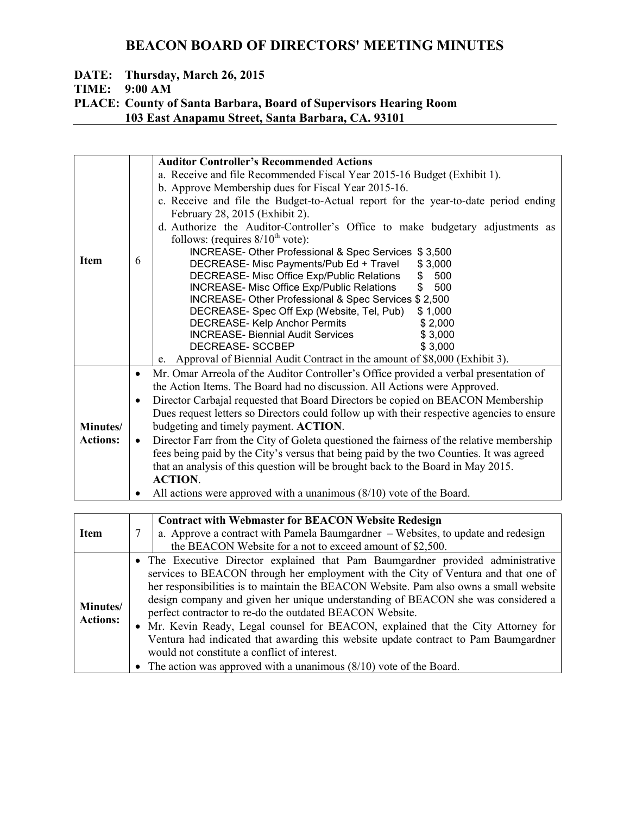# **DATE: Thursday, March 26, 2015**

**TIME: 9:00 AM** 

#### **PLACE: County of Santa Barbara, Board of Supervisors Hearing Room 103 East Anapamu Street, Santa Barbara, CA. 93101**

|                 |           | <b>Auditor Controller's Recommended Actions</b>                                            |
|-----------------|-----------|--------------------------------------------------------------------------------------------|
|                 |           | a. Receive and file Recommended Fiscal Year 2015-16 Budget (Exhibit 1).                    |
|                 |           | b. Approve Membership dues for Fiscal Year 2015-16.                                        |
|                 |           | c. Receive and file the Budget-to-Actual report for the year-to-date period ending         |
|                 |           | February 28, 2015 (Exhibit 2).                                                             |
|                 |           | d. Authorize the Auditor-Controller's Office to make budgetary adjustments as              |
|                 |           | follows: (requires $8/10^{th}$ vote):                                                      |
|                 |           | INCREASE- Other Professional & Spec Services \$3,500                                       |
| <b>Item</b>     | 6         | DECREASE- Misc Payments/Pub Ed + Travel<br>\$3,000                                         |
|                 |           | DECREASE- Misc Office Exp/Public Relations<br>500<br>\$                                    |
|                 |           | <b>INCREASE- Misc Office Exp/Public Relations</b><br>500<br>\$                             |
|                 |           | INCREASE- Other Professional & Spec Services \$ 2,500                                      |
|                 |           | DECREASE- Spec Off Exp (Website, Tel, Pub)<br>\$1,000                                      |
|                 |           | <b>DECREASE-Kelp Anchor Permits</b><br>\$2,000                                             |
|                 |           | <b>INCREASE- Biennial Audit Services</b><br>\$3,000                                        |
|                 |           | DECREASE- SCCBEP<br>\$3,000                                                                |
|                 |           | e. Approval of Biennial Audit Contract in the amount of \$8,000 (Exhibit 3).               |
|                 | $\bullet$ | Mr. Omar Arreola of the Auditor Controller's Office provided a verbal presentation of      |
|                 |           | the Action Items. The Board had no discussion. All Actions were Approved.                  |
|                 | $\bullet$ | Director Carbajal requested that Board Directors be copied on BEACON Membership            |
|                 |           | Dues request letters so Directors could follow up with their respective agencies to ensure |
| Minutes/        |           | budgeting and timely payment. ACTION.                                                      |
| <b>Actions:</b> | $\bullet$ | Director Farr from the City of Goleta questioned the fairness of the relative membership   |
|                 |           | fees being paid by the City's versus that being paid by the two Counties. It was agreed    |
|                 |           | that an analysis of this question will be brought back to the Board in May 2015.           |
|                 |           | <b>ACTION.</b>                                                                             |
|                 | $\bullet$ | All actions were approved with a unanimous $(8/10)$ vote of the Board.                     |
|                 |           |                                                                                            |
|                 |           |                                                                                            |
|                 |           | <b>Contract with Webmaster for BEACON Website Redesign</b>                                 |

|                             | Contract with webmaster for BEACON website Regesign                                                                                                                                                                                                                                                                                                                                                                                                                                                                                                                                        |
|-----------------------------|--------------------------------------------------------------------------------------------------------------------------------------------------------------------------------------------------------------------------------------------------------------------------------------------------------------------------------------------------------------------------------------------------------------------------------------------------------------------------------------------------------------------------------------------------------------------------------------------|
| <b>Item</b>                 | a. Approve a contract with Pamela Baumgardner – Websites, to update and redesign                                                                                                                                                                                                                                                                                                                                                                                                                                                                                                           |
|                             | the BEACON Website for a not to exceed amount of \$2,500.                                                                                                                                                                                                                                                                                                                                                                                                                                                                                                                                  |
| Minutes/<br><b>Actions:</b> | • The Executive Director explained that Pam Baumgardner provided administrative<br>services to BEACON through her employment with the City of Ventura and that one of<br>her responsibilities is to maintain the BEACON Website. Pam also owns a small website<br>design company and given her unique understanding of BEACON she was considered a<br>perfect contractor to re-do the outdated BEACON Website.<br>• Mr. Kevin Ready, Legal counsel for BEACON, explained that the City Attorney for<br>Ventura had indicated that awarding this website update contract to Pam Baumgardner |
|                             | would not constitute a conflict of interest.                                                                                                                                                                                                                                                                                                                                                                                                                                                                                                                                               |
|                             | • The action was approved with a unanimous $(8/10)$ vote of the Board.                                                                                                                                                                                                                                                                                                                                                                                                                                                                                                                     |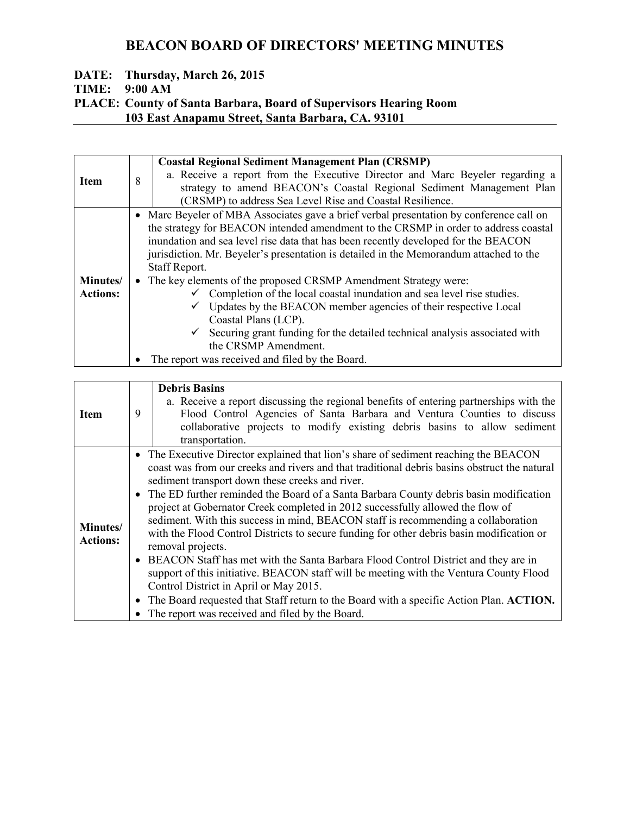#### **DATE: Thursday, March 26, 2015 TIME: 9:00 AM**

### **PLACE: County of Santa Barbara, Board of Supervisors Hearing Room 103 East Anapamu Street, Santa Barbara, CA. 93101**

|           | <b>Coastal Regional Sediment Management Plan (CRSMP)</b>                                                                                                                                                                                                                                                                                                                                                                                                                                                                     |
|-----------|------------------------------------------------------------------------------------------------------------------------------------------------------------------------------------------------------------------------------------------------------------------------------------------------------------------------------------------------------------------------------------------------------------------------------------------------------------------------------------------------------------------------------|
|           | a. Receive a report from the Executive Director and Marc Beyeler regarding a                                                                                                                                                                                                                                                                                                                                                                                                                                                 |
|           | strategy to amend BEACON's Coastal Regional Sediment Management Plan                                                                                                                                                                                                                                                                                                                                                                                                                                                         |
|           | (CRSMP) to address Sea Level Rise and Coastal Resilience.                                                                                                                                                                                                                                                                                                                                                                                                                                                                    |
| $\bullet$ | Marc Beyeler of MBA Associates gave a brief verbal presentation by conference call on<br>the strategy for BEACON intended amendment to the CRSMP in order to address coastal<br>inundation and sea level rise data that has been recently developed for the BEACON<br>jurisdiction. Mr. Beyeler's presentation is detailed in the Memorandum attached to the<br>Staff Report.<br>• The key elements of the proposed CRSMP Amendment Strategy were:<br>Completion of the local coastal inundation and sea level rise studies. |
|           | Updates by the BEACON member agencies of their respective Local<br>Coastal Plans (LCP).                                                                                                                                                                                                                                                                                                                                                                                                                                      |
|           | Securing grant funding for the detailed technical analysis associated with<br>the CRSMP Amendment.                                                                                                                                                                                                                                                                                                                                                                                                                           |
| ٠         | The report was received and filed by the Board.                                                                                                                                                                                                                                                                                                                                                                                                                                                                              |
|           | 8                                                                                                                                                                                                                                                                                                                                                                                                                                                                                                                            |

|                             |           | <b>Debris Basins</b><br>a. Receive a report discussing the regional benefits of entering partnerships with the                                                                                                                                                                                                                                                                                                                                                                                                                                                                                                                                                                                                                                                                                                                                                                                                                                                                                        |
|-----------------------------|-----------|-------------------------------------------------------------------------------------------------------------------------------------------------------------------------------------------------------------------------------------------------------------------------------------------------------------------------------------------------------------------------------------------------------------------------------------------------------------------------------------------------------------------------------------------------------------------------------------------------------------------------------------------------------------------------------------------------------------------------------------------------------------------------------------------------------------------------------------------------------------------------------------------------------------------------------------------------------------------------------------------------------|
| <b>Item</b>                 | 9         | Flood Control Agencies of Santa Barbara and Ventura Counties to discuss                                                                                                                                                                                                                                                                                                                                                                                                                                                                                                                                                                                                                                                                                                                                                                                                                                                                                                                               |
|                             |           | collaborative projects to modify existing debris basins to allow sediment<br>transportation.                                                                                                                                                                                                                                                                                                                                                                                                                                                                                                                                                                                                                                                                                                                                                                                                                                                                                                          |
| Minutes/<br><b>Actions:</b> | $\bullet$ | • The Executive Director explained that lion's share of sediment reaching the BEACON<br>coast was from our creeks and rivers and that traditional debris basins obstruct the natural<br>sediment transport down these creeks and river.<br>• The ED further reminded the Board of a Santa Barbara County debris basin modification<br>project at Gobernator Creek completed in 2012 successfully allowed the flow of<br>sediment. With this success in mind, BEACON staff is recommending a collaboration<br>with the Flood Control Districts to secure funding for other debris basin modification or<br>removal projects.<br>• BEACON Staff has met with the Santa Barbara Flood Control District and they are in<br>support of this initiative. BEACON staff will be meeting with the Ventura County Flood<br>Control District in April or May 2015.<br>The Board requested that Staff return to the Board with a specific Action Plan. ACTION.<br>The report was received and filed by the Board. |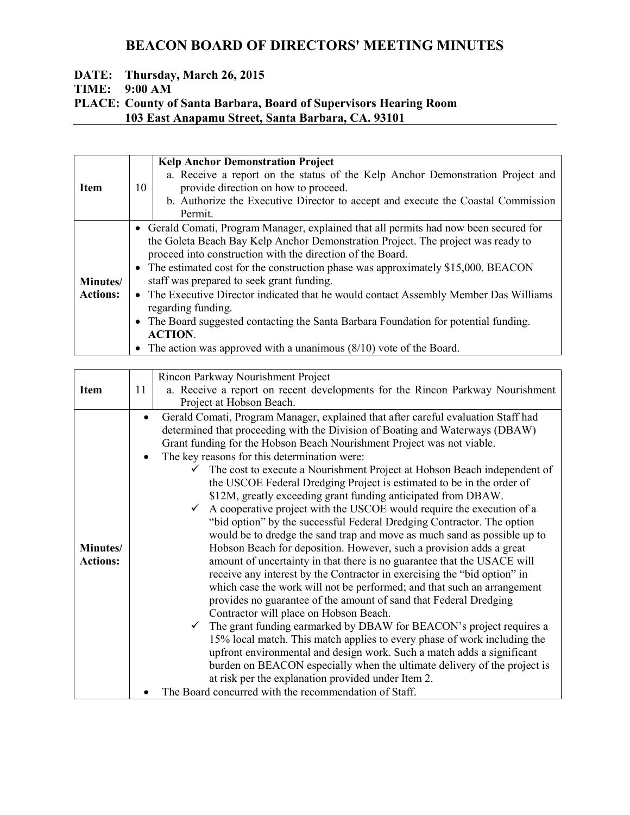# **DATE: Thursday, March 26, 2015**

**TIME: 9:00 AM** 

### **PLACE: County of Santa Barbara, Board of Supervisors Hearing Room 103 East Anapamu Street, Santa Barbara, CA. 93101**

| <b>Item</b>                        | 10 | <b>Kelp Anchor Demonstration Project</b><br>a. Receive a report on the status of the Kelp Anchor Demonstration Project and<br>provide direction on how to proceed.<br>b. Authorize the Executive Director to accept and execute the Coastal Commission<br>Permit.                                                                                                                                                                                                                                                                                                                                                                                                           |
|------------------------------------|----|-----------------------------------------------------------------------------------------------------------------------------------------------------------------------------------------------------------------------------------------------------------------------------------------------------------------------------------------------------------------------------------------------------------------------------------------------------------------------------------------------------------------------------------------------------------------------------------------------------------------------------------------------------------------------------|
| <b>Minutes/</b><br><b>Actions:</b> |    | • Gerald Comati, Program Manager, explained that all permits had now been secured for<br>the Goleta Beach Bay Kelp Anchor Demonstration Project. The project was ready to<br>proceed into construction with the direction of the Board.<br>• The estimated cost for the construction phase was approximately \$15,000. BEACON<br>staff was prepared to seek grant funding.<br>• The Executive Director indicated that he would contact Assembly Member Das Williams<br>regarding funding.<br>• The Board suggested contacting the Santa Barbara Foundation for potential funding.<br><b>ACTION.</b><br>The action was approved with a unanimous $(8/10)$ vote of the Board. |

|                             | Rincon Parkway Nourishment Project                                                                                                                                                                                                                                                                                                                                                                                                                                                                                                                                                                                                                                                                                                                                                                                                                                                                                                                                                                                                                                                                                                                                                                                                                                                                                                                                                                                                                                                                                                                                                                               |
|-----------------------------|------------------------------------------------------------------------------------------------------------------------------------------------------------------------------------------------------------------------------------------------------------------------------------------------------------------------------------------------------------------------------------------------------------------------------------------------------------------------------------------------------------------------------------------------------------------------------------------------------------------------------------------------------------------------------------------------------------------------------------------------------------------------------------------------------------------------------------------------------------------------------------------------------------------------------------------------------------------------------------------------------------------------------------------------------------------------------------------------------------------------------------------------------------------------------------------------------------------------------------------------------------------------------------------------------------------------------------------------------------------------------------------------------------------------------------------------------------------------------------------------------------------------------------------------------------------------------------------------------------------|
| <b>Item</b>                 | a. Receive a report on recent developments for the Rincon Parkway Nourishment<br>11                                                                                                                                                                                                                                                                                                                                                                                                                                                                                                                                                                                                                                                                                                                                                                                                                                                                                                                                                                                                                                                                                                                                                                                                                                                                                                                                                                                                                                                                                                                              |
|                             | Project at Hobson Beach.                                                                                                                                                                                                                                                                                                                                                                                                                                                                                                                                                                                                                                                                                                                                                                                                                                                                                                                                                                                                                                                                                                                                                                                                                                                                                                                                                                                                                                                                                                                                                                                         |
| Minutes/<br><b>Actions:</b> | Gerald Comati, Program Manager, explained that after careful evaluation Staff had<br>determined that proceeding with the Division of Boating and Waterways (DBAW)<br>Grant funding for the Hobson Beach Nourishment Project was not viable.<br>The key reasons for this determination were:<br>The cost to execute a Nourishment Project at Hobson Beach independent of<br>the USCOE Federal Dredging Project is estimated to be in the order of<br>\$12M, greatly exceeding grant funding anticipated from DBAW.<br>A cooperative project with the USCOE would require the execution of a<br>$\checkmark$<br>"bid option" by the successful Federal Dredging Contractor. The option<br>would be to dredge the sand trap and move as much sand as possible up to<br>Hobson Beach for deposition. However, such a provision adds a great<br>amount of uncertainty in that there is no guarantee that the USACE will<br>receive any interest by the Contractor in exercising the "bid option" in<br>which case the work will not be performed; and that such an arrangement<br>provides no guarantee of the amount of sand that Federal Dredging<br>Contractor will place on Hobson Beach.<br>The grant funding earmarked by DBAW for BEACON's project requires a<br>15% local match. This match applies to every phase of work including the<br>upfront environmental and design work. Such a match adds a significant<br>burden on BEACON especially when the ultimate delivery of the project is<br>at risk per the explanation provided under Item 2.<br>The Board concurred with the recommendation of Staff. |